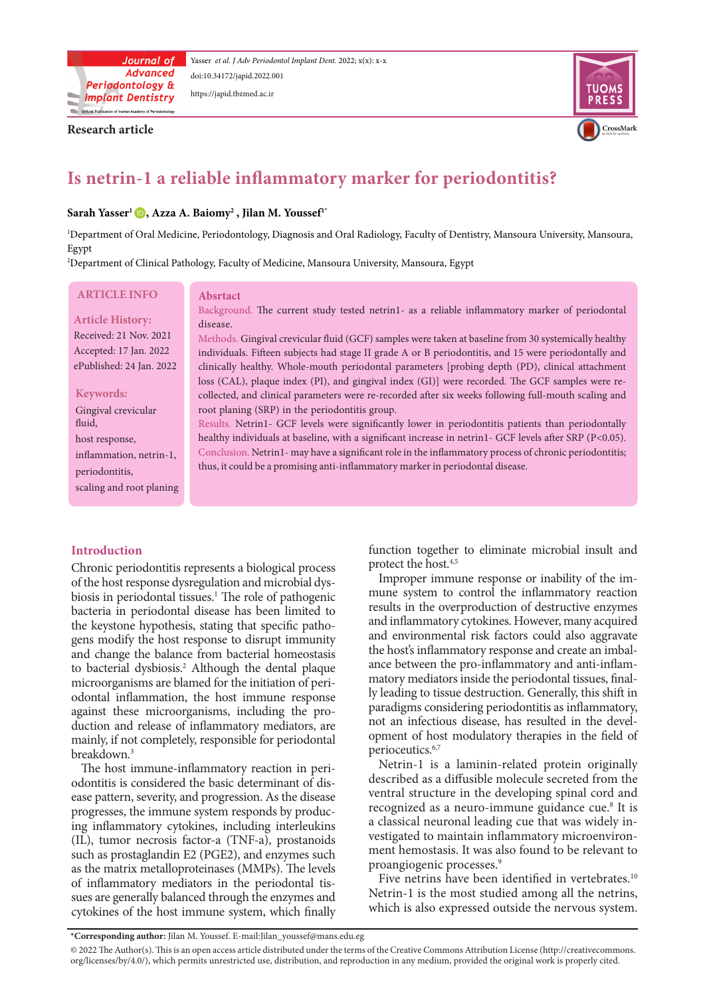

Yasser et al. J Adv Periodontol Implant Dent. 2022; x(x): x-x doi:10.34172/japid[.2022.00](http://doi.org/10.34172/japid.2022.001)1 https://japid.tbzmed.ac.ir

**Research article** 



# **Is netrin-1 a reliable inflammatory marker for periodontitis?**

## **Sarah Yasser<sup>1</sup> D, Azza A. Baiomy<sup>2</sup>, Jilan M. Youssef<sup>1\*</sup>**

<sup>1</sup>Department of Oral Medicine, Periodontology, Diagnosis and Oral Radiology, Faculty of Dentistry, Mansoura University, Mansoura, Egypt

<sup>2</sup>Department of Clinical Pathology, Faculty of Medicine, Mansoura University, Mansoura, Egypt

## **ARTICLE INFO**

**Article History:** Received: 21 Nov. 2021

Accepted: 17 Jan. 2022 ePublished: 24 Jan. 2022

#### *:***Keywords**

Gingival crevicular fluid, host response, inflammation, netrin-1, periodontitis, scaling and root planing

#### **Absrtact**

Background. The current study tested netrin1- as a reliable inflammatory marker of periodontal disease.

Methods. Gingival crevicular fluid (GCF) samples were taken at baseline from 30 systemically healthy individuals. Fifteen subjects had stage II grade A or B periodontitis, and 15 were periodontally and clinically healthy. Whole-mouth periodontal parameters [probing depth (PD), clinical attachment collected, and clinical parameters were re-recorded after six weeks following full-mouth scaling and loss (CAL), plaque index (PI), and gingival index (GI)] were recorded. The GCF samples were reroot planing (SRP) in the periodontitis group.

Results. Netrin1- GCF levels were significantly lower in periodontitis patients than periodontally healthy individuals at baseline, with a significant increase in netrin1- GCF levels after SRP (P<0.05). Conclusion. Netrin1-may have a significant role in the inflammatory process of chronic periodontitis; thus, it could be a promising anti-inflammatory marker in periodontal disease.

## **Introduction**

Chronic periodontitis represents a biological process of the host response dysregulation and microbial dys-<br>biosis in periodontal tissues.<sup>1</sup> The role of pathogenic of the host response dysregulation and microbial dysbacteria in periodontal disease has been limited to the keystone hypothesis, stating that specific pathogens modify the host response to disrupt immunity and change the balance from bacterial homeostasis to bacterial dysbiosis.<sup>2</sup> Although the dental plaque odontal inflammation, the host immune response microorganisms are blamed for the initiation of periduction and release of inflammatory mediators, are against these microorganisms, including the promainly, if not completely, responsible for periodontal breakdown.<sup>3</sup>

ease pattern, severity, and progression. As the disease odontitis is considered the basic determinant of dis-The host immune-inflammatory reaction in periing inflammatory cytokines, including interleukins progresses, the immune system responds by produc-(IL), tumor necrosis factor-a (TNF-a), prostanoids such as prostaglandin E2 (PGE2), and enzymes such as the matrix metalloproteinases (MMPs). The levels sues are generally balanced through the enzymes and of inflammatory mediators in the periodontal tiscytokines of the host immune system, which finally function together to eliminate microbial insult and protect the host.<sup>4,5</sup>

mune system to control the inflammatory reaction Improper immune response or inability of the imresults in the overproduction of destructive enzymes and inflammatory cytokines. However, many acquired and environmental risk factors could also aggravate matory mediators inside the periodontal tissues, final-<br>ly leading to tissue destruction. Generally, this shift in ance between the pro-inflammatory and anti-inflam-<br>matory mediators inside the periodontal tissues, finalthe host's inflammatory response and create an imbalance between the pro-inflammatory and anti-inflamthe host's inflammatory response and create an imbalparadigms considering periodontitis as inflammatory, opment of host modulatory therapies in the field of not an infectious disease, has resulted in the develperioceutics.<sup>6,7</sup>

Netrin-1 is a laminin-related protein originally described as a diffusible molecule secreted from the ventral structure in the developing spinal cord and recognized as a neuro-immune guidance cue.<sup>8</sup> It is vestigated to maintain inflammatory microenvironment hemostasis. It was also found to be relevant to a classical neuronal leading cue that was widely in-<br>vestigated to maintain inflammatory microenvironproangiogenic processes.<sup>9</sup>

Five netrins have been identified in vertebrates.<sup>10</sup> Netrin-1 is the most studied among all the netrins, which is also expressed outside the nervous system.

\*Corresponding author: Jilan M. Youssef. E-mail:Jilan\_youssef@mans.edu.eg

<sup>@ 2022</sup> The Author(s). This is an open access article distributed under the terms of the Creative Commons Attribution License (http://creativecommons. org/licenses/by/4.0/), which permits unrestricted use, distribution, and reproduction in any medium, provided the original work is properly cited.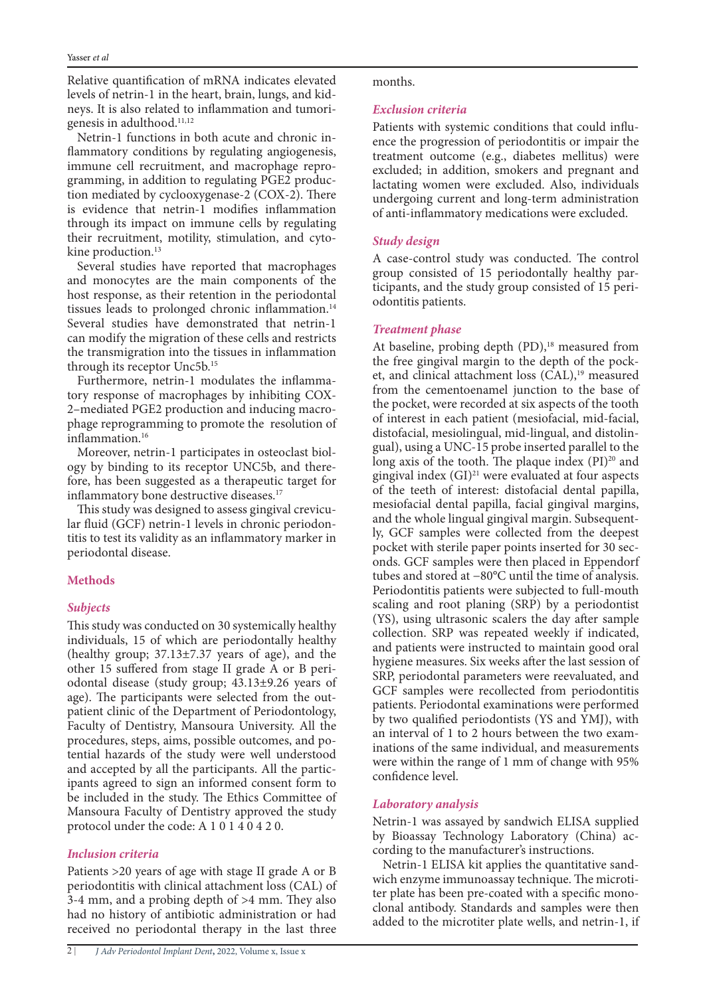Relative quantification of mRNA indicates elevated neys. It is also related to inflammation and tumori-<br>genesis in adulthood.<sup>11,12</sup> levels of netrin-1 in the heart, brain, lungs, and kid-<br>neys. It is also related to inflammation and tumorilevels of netrin-1 in the heart, brain, lungs, and kid-

flammatory conditions by regulating angiogenesis, Netrin-1 functions in both acute and chronic ingramming, in addition to regulating PGE2 production mediated by cyclooxygenase-2 (COX-2). There immune cell recruitment, and macrophage repro-<br>gramming, in addition to regulating PGE2 producis evidence that netrin-1 modifies inflammation through its impact on immune cells by regulating their recruitment, motility, stimulation, and cyto-<br>kine-production.<sup>13</sup>

Several studies have reported that macrophages and monocytes are the main components of the host response, as their retention in the periodontal tissues leads to prolonged chronic inflammation.<sup>14</sup> Several studies have demonstrated that netrin-1 can modify the migration of these cells and restricts the transmigration into the tissues in inflammation through its receptor Unc5b.<sup>15</sup>

2–mediated PGE2 production and inducing macro-<br>phage reprogramming to promote the resolution of Furthermore, netrin-1 modulates the inflamma-<br>tory response of macrophages by inhibiting COX-<br>2-mediated PGE2 production and inducing macro-Furthermore, netrin-1 modulates the inflammainflammation.<sup>16</sup>

ogy by binding to its receptor UNC5b, and there-<br>fore, has been suggested as a therapeutic target for Moreover, netrin-1 participates in osteoclast biology by binding to its receptor UNC5b, and thereinflammatory bone destructive diseases.<sup>17</sup>

titis to test its validity as an inflammatory marker in lar fluid (GCF) netrin-1 levels in chronic periodon-This study was designed to assess gingival crevicuperiodontal disease.

# **Methods**

# *Subjects*

This study was conducted on 30 systemically healthy individuals, 15 of which are periodontally healthy (healthy group;  $37.13\pm7.37$  years of age), and the odontal disease (study group;  $43.13\pm9.26$  years of other 15 suffered from stage II grade A or B peripatient clinic of the Department of Periodontology, age). The participants were selected from the out-Faculty of Dentistry, Mansoura University. All the tential hazards of the study were well understood procedures, steps, aims, possible outcomes, and poipants agreed to sign an informed consent form to and accepted by all the participants. All the particbe included in the study. The Ethics Committee of Mansoura Faculty of Dentistry approved the study protocol under the code: A  $1\ 0\ 1\ 4\ 0\ 4\ 2\ 0$ .

# **Inclusion** criteria

Patients  $>20$  years of age with stage II grade A or B periodontitis with clinical attachment loss (CAL) of 3-4 mm, and a probing depth of  $>4$  mm. They also had no history of antibiotic administration or had received no periodontal therapy in the last three

## .months

# **Exclusion** criteria

Patients with systemic conditions that could influ-<br>ence the progression of periodontitis or impair the treatment outcome (e.g., diabetes mellitus) were excluded; in addition, smokers and pregnant and lactating women were excluded. Also, individuals undergoing current and long-term administration of anti-inflammatory medications were excluded.

# *Study* design

A case-control study was conducted. The control ticipants, and the study group consisted of 15 periodontitis patients. group consisted of 15 periodontally healthy participants, and the study group consisted of 15 perigroup consisted of 15 periodontally healthy par-

# **Treatment** phase

At baseline, probing depth  $(PD)$ ,<sup>18</sup> measured from et, and clinical attachment loss  $(CAL)^{19}$  measured the free gingival margin to the depth of the pockfrom the cementoenamel junction to the base of the pocket, were recorded at six aspects of the tooth of interest in each patient (mesiofacial, mid-facial, gual), using a UNC-15 probe inserted parallel to the distofacial, mesiolingual, mid-lingual, and distolinlong axis of the tooth. The plaque index  $(PI)^{20}$  and gingival index  $(GI)^{21}$  were evaluated at four aspects of the teeth of interest: distofacial dental papilla, mesiofacial dental papilla, facial gingival margins, and the whole lingual gingival margin. Subsequent-ly, GCF samples were collected from the deepest onds. GCF samples were then placed in Eppendorf pocket with sterile paper points inserted for 30 sectubes and stored at -80°C until the time of analysis. Periodontitis patients were subjected to full-mouth scaling and root planing (SRP) by a periodontist (YS), using ultrasonic scalers the day after sample collection. SRP was repeated weekly if indicated, and patients were instructed to maintain good oral hygiene measures. Six weeks after the last session of SRP, periodontal parameters were reevaluated, and GCF samples were recollected from periodontitis patients. Periodontal examinations were performed by two qualified periodontists (YS and YMJ), with inations of the same individual, and measurements an interval of 1 to 2 hours between the two examwere within the range of 1 mm of change with  $95\%$ confidence level.

# Laboratory analysis

Netrin-1 was assayed by sandwich ELISA supplied by Bioassay Technology Laboratory (China) according to the manufacturer's instructions.

clonal antibody. Standards and samples were then ter plate has been pre-coated with a specific monowich enzyme immunoassay technique. The microti-Netrin-1 ELISA kit applies the quantitative sandadded to the microtiter plate wells, and netrin-1, if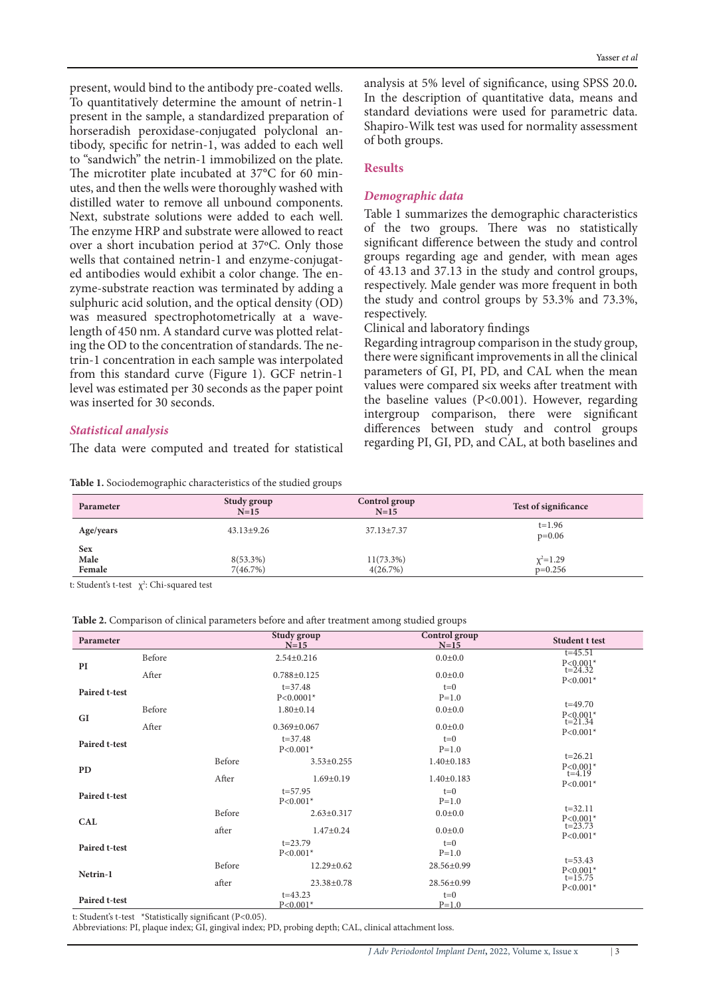present, would bind to the antibody pre-coated wells. To quantitatively determine the amount of netrin-1 present in the sample, a standardized preparation of horseradish peroxidase-conjugated polyclonal an-<br>tibody, specific for netrin-1, was added to each well to "sandwich" the netrin-1 immobilized on the plate. The microtiter plate incubated at  $37^{\circ}$ C for 60 minutes, and then the wells were thoroughly washed with distilled water to remove all unbound components. Next, substrate solutions were added to each well. The enzyme HRP and substrate were allowed to react over a short incubation period at 37°C. Only those ed antibodies would exhibit a color change. The en-<br>zyme-substrate reaction was terminated by adding a wells that contained netrin-1 and enzyme-conjugat-<br>ed antibodies would exhibit a color change. The ensulphuric acid solution, and the optical density (OD) trin-1 concentration in each sample was interpolated ing the OD to the concentration of standards. The nelength of 450 nm. A standard curve was plotted relatwas measured spectrophotometrically at a wavefrom this standard curve (Figure 1). GCF netrin-1 level was estimated per 30 seconds as the paper point was inserted for 30 seconds.

## *analysis Statistical*

The data were computed and treated for statistical

Table 1. Sociodemographic characteristics of the studied groups

analysis at 5% level of significance, using SPSS 20.0. In the description of quantitative data, means and standard deviations were used for parametric data. Shapiro-Wilk test was used for normality assessment of both groups.

## **Results**

## **Demographic** data

Table 1 summarizes the demographic characteristics of the two groups. There was no statistically significant difference between the study and control groups regarding age and gender, with mean ages  $of 43.13$  and 37.13 in the study and control groups, respectively. Male gender was more frequent in both the study and control groups by  $53.3\%$  and  $73.3\%$ , .respectively

Clinical and laboratory findings

Regarding intragroup comparison in the study group, there were significant improvements in all the clinical parameters of GI, PI, PD, and CAL when the mean values were compared six weeks after treatment with the baseline values  $(P<0.001)$ . However, regarding intergroup comparison, there were significant differences between study and control groups regarding PI, GI, PD, and CAL, at both baselines and

| Parameter             | Study group<br>$N=15$   | Control group<br>$N=15$  | Test of significance         |
|-----------------------|-------------------------|--------------------------|------------------------------|
| Age/years             | $43.13 \pm 9.26$        | $37.13 \pm 7.37$         | $t = 1.96$<br>$p=0.06$       |
| Sex<br>Male<br>Female | $8(53.3\%)$<br>7(46.7%) | $11(73.3\%)$<br>4(26.7%) | $\chi^2 = 1.29$<br>$p=0.256$ |

t: Student's t-test  $\chi^2$ : Chi-squared test

|  |  | Table 2. Comparison of clinical parameters before and after treatment among studied groups |
|--|--|--------------------------------------------------------------------------------------------|
|--|--|--------------------------------------------------------------------------------------------|

| Parameter     |                             |                             | <b>Study group</b><br>$N=15$ | Control group<br>$N=15$ | <b>Student t test</b>                                      |  |
|---------------|-----------------------------|-----------------------------|------------------------------|-------------------------|------------------------------------------------------------|--|
| PI            | Before                      | $2.54 \pm 0.216$            |                              | $0.0{\pm}0.0$           | $t = 45.51$<br>$P < 0.001*$<br>$t = 24.32$<br>$P < 0.001*$ |  |
|               | After                       | $0.788 \pm 0.125$           |                              | $0.0{\pm}0.0$           |                                                            |  |
| Paired t-test |                             |                             | $t = 37.48$<br>$P < 0.0001*$ | $t=0$<br>$P=1.0$        |                                                            |  |
| GI            | Before                      | $1.80 \pm 0.14$             |                              | $0.0 + 0.0$             | $t = 49.70$<br>$P < 0.001*$<br>$t = 21.34$<br>$P < 0.001*$ |  |
|               | After                       | $0.369 \pm 0.067$           |                              | $0.0{\pm}0.0$           |                                                            |  |
| Paired t-test |                             | $t = 37.48$<br>$P < 0.001*$ |                              | $t=0$<br>$P=1.0$        |                                                            |  |
| <b>PD</b>     |                             | Before                      | $3.53 \pm 0.255$             | $1.40 \pm 0.183$        | $t = 26.21$<br>$P<0.001*$<br>$t = 4.19$<br>$P < 0.001*$    |  |
|               |                             | After                       | $1.69 \pm 0.19$              | $1.40 \pm 0.183$        |                                                            |  |
| Paired t-test |                             | $t = 57.95$<br>$P < 0.001*$ |                              | $t=0$<br>$P = 1.0$      |                                                            |  |
| <b>CAL</b>    |                             | Before                      | $2.63 \pm 0.317$             | $0.0{\pm}0.0$           | $t = 32.11$<br>$P < 0.001*$                                |  |
|               |                             | after                       | $1.47 \pm 0.24$              | $0.0{\pm}0.0$           | $t = 23.73$<br>$P < 0.001*$                                |  |
| Paired t-test | $t = 23.79$<br>$P < 0.001*$ |                             | $t=0$<br>$P=1.0$             |                         |                                                            |  |
| Netrin-1      |                             | Before                      | $12.29 \pm 0.62$             | 28.56±0.99              | $t = 53.43$<br>$P < 0.001*$                                |  |
|               |                             | after                       | $23.38 \pm 0.78$             | 28.56±0.99              | $t = 15.75$<br>$P < 0.001*$                                |  |
| Paired t-test | $t = 43.23$<br>$P < 0.001*$ |                             | $t=0$<br>$P = 1.0$           |                         |                                                            |  |

t: Student's t-test \*Statistically significant (P<0.05)

Abbreviations: PI, plaque index; GI, gingival index; PD, probing depth; CAL, clinical attachment loss.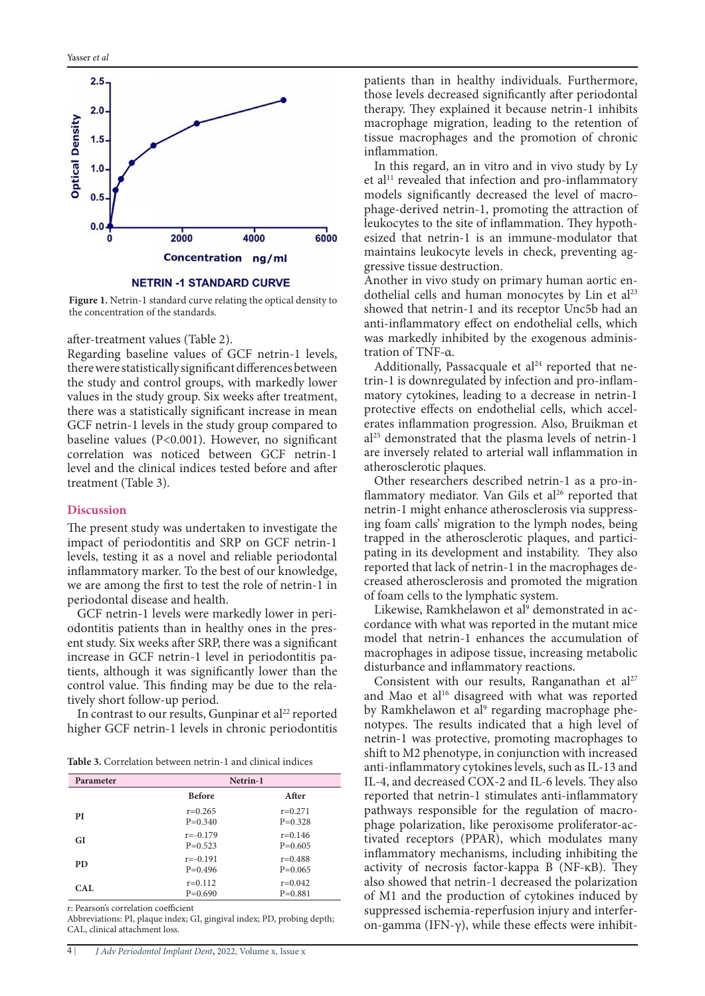

**NETRIN -1 STANDARD CURVE** 

Figure 1. Netrin-1 standard curve relating the optical density to the concentration of the standards.

after-treatment values (Table 2).

Regarding baseline values of GCF netrin-1 levels, there were statistically significant differences between the study and control groups, with markedly lower values in the study group. Six weeks after treatment, there was a statistically significant increase in mean GCF netrin-1 levels in the study group compared to baseline values ( $P<0.001$ ). However, no significant correlation was noticed between GCF netrin-1 level and the clinical indices tested before and after treatment (Table 3).

#### **Discussion**

The present study was undertaken to investigate the impact of periodontitis and SRP on GCF netrin-1 levels, testing it as a novel and reliable periodontal inflammatory marker. To the best of our knowledge, we are among the first to test the role of netrin-1 in periodontal disease and health.

ent study. Six weeks after SRP, there was a significant odontitis patients than in healthy ones in the pres-GCF netrin-1 levels were markedly lower in peritients, although it was significantly lower than the increase in GCF netrin-1 level in periodontitis pacontrol value. This finding may be due to the rela-<br>tively short follow-up period.

In contrast to our results, Gunpinar et al<sup>22</sup> reported higher GCF netrin-1 levels in chronic periodontitis

Table 3. Correlation between netrin-1 and clinical indices

| Parameter | Netrin-1                  |                          |
|-----------|---------------------------|--------------------------|
|           | <b>Before</b>             | After                    |
| PI        | $r=0.265$<br>$P=0.340$    | $r=0.271$<br>$P=0.328$   |
| GI        | $r = -0.179$<br>$P=0.523$ | $r=0.146$<br>$P=0.605$   |
| <b>PD</b> | $r = -0.191$<br>$P=0.496$ | $r=0.488$<br>$P=0.065$   |
| CAL       | $r=0.112$<br>$P=0.690$    | $r = 0.042$<br>$P=0.881$ |

r: Pearson's correlation coefficient

Abbreviations: PI, plaque index; GI, gingival index; PD, probing depth; CAL, clinical attachment loss.

patients than in healthy individuals. Furthermore, those levels decreased significantly after periodontal therapy. They explained it because netrin-1 inhibits macrophage migration, leading to the retention of tissue macrophages and the promotion of chronic .inflammation

In this regard, an in vitro and in vivo study by Ly et al<sup>11</sup> revealed that infection and pro-inflammatory phage-derived netrin-1, promoting the attraction of models significantly decreased the level of macroesized that netrin-1 is an immune-modulator that leukocytes to the site of inflammation. They hypothmaintains leukocyte levels in check, preventing ag-<br>gressive tissue destruction.

Another in vivo study on primary human aortic en-<br>dothelial cells and human monocytes by Lin et al<sup>23</sup> showed that netrin-1 and its receptor Unc5b had an anti-inflammatory effect on endothelial cells, which was markedly inhibited by the exogenous adminis-<br>tration of TNF-α.

matory cytokines, leading to a decrease in netrin-1 trin-1 is downregulated by infection and pro-inflam-Additionally, Passacquale et  $al<sup>24</sup>$  reported that neerates inflammation progression. Also, Bruikman et protective effects on endothelial cells, which accel $al<sup>25</sup>$  demonstrated that the plasma levels of netrin-1 are inversely related to arterial wall inflammation in atherosclerotic plaques.

flammatory mediator. Van Gils et al<sup>26</sup> reported that Other researchers described netrin-1 as a pro-innetrin-1 might enhance atherosclerosis via suppress-<br>ing foam calls' migration to the lymph nodes, being trapped in the atherosclerotic plaques, and partici-<br>pating in its development and instability. They also creased atherosclerosis and promoted the migration reported that lack of netrin-1 in the macrophages deof foam cells to the lymphatic system.

Likewise, Ramkhelawon et al<sup>9</sup> demonstrated in ac cordance with what was reported in the mutant mice model that netrin-1 enhances the accumulation of macrophages in adipose tissue, increasing metabolic disturbance and inflammatory reactions.

Consistent with our results, Ranganathan et al<sup>27</sup> and Mao et al<sup>16</sup> disagreed with what was reported by Ramkhelawon et al<sup>9</sup> regarding macrophage phe notypes. The results indicated that a high level of netrin-1 was protective, promoting macrophages to shift to M2 phenotype, in conjunction with increased anti-inflammatory cytokines levels, such as IL-13 and IL-4, and decreased COX-2 and IL-6 levels. They also reported that netrin-1 stimulates anti-inflammatory phage polarization, like peroxisome proliferator-ac-<br>tivated-receptors (PPAR), which-modulates-many pathways responsible for the regulation of macro-<br>phage polarization, like peroxisome proliferator-acpathways responsible for the regulation of macroinflammatory mechanisms, including inhibiting the activity of necrosis factor-kappa  $B$  (NF- $\kappa B$ ). They also showed that netrin-1 decreased the polarization of M1 and the production of cytokines induced by suppressed ischemia-reperfusion injury and interfer-<br>on-gamma (IFN-γ), while these effects were inhibitsuppressed ischemia-reperfusion injury and interfer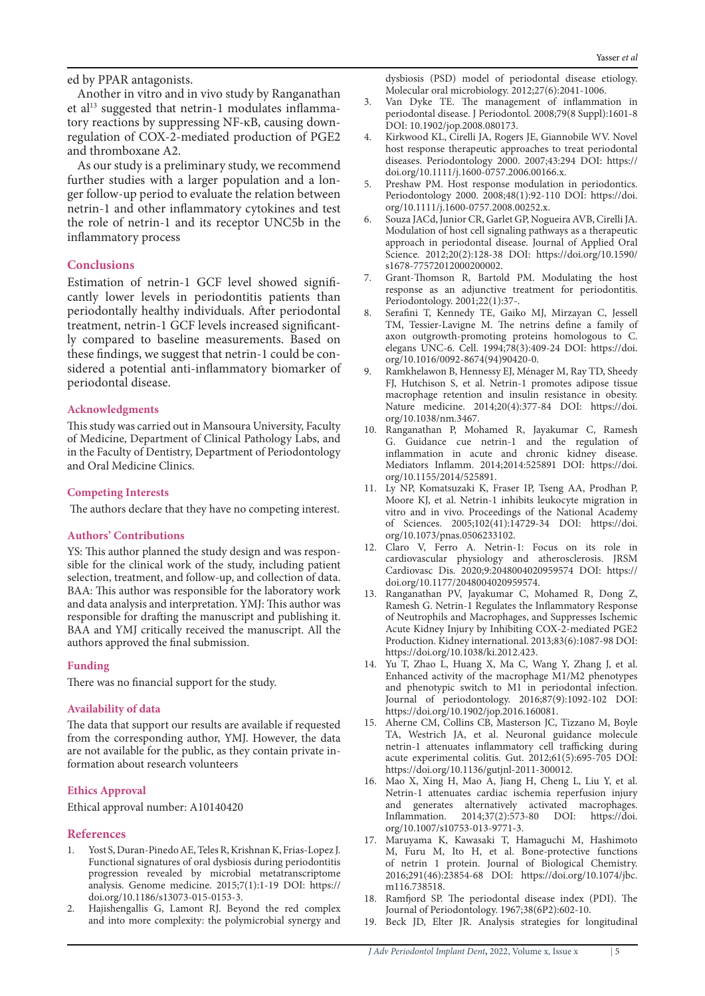ed by PPAR antagonists.

Another in vitro and in vivo study by Ranganathan regulation of COX-2-mediated production of PGE2 tory reactions by suppressing NF-κB, causing downet al<sup>13</sup> suggested that netrin-1 modulates inflammaand thromboxane A2.

As our study is a preliminary study, we recommend further studies with a larger population and a lon-<br>ger follow-up period to evaluate the relation between netrin-1 and other inflammatory cytokines and test the role of netrin-1 and its receptor UNC5b in the inflammatory process

## **Conclusions**

cantly lower levels in periodontitis patients than Estimation of netrin-1 GCF level showed signifiperiodontally healthy individuals. After periodontal treatment, netrin-1 GCF levels increased significant-<br>ly-compared to baseline measurements. Based on these findings, we suggest that netrin-1 could be con-<br>sidered-a-potential-anti-inflammatory-biomarker-of periodontal disease.

## **Acknowledgments**

This study was carried out in Mansoura University, Faculty of Medicine, Department of Clinical Pathology Labs, and in the Faculty of Dentistry, Department of Periodontology and Oral Medicine Clinics.

## **Interests Competing**

The authors declare that they have no competing interest.

### **Contributions' Authors**

sible for the clinical work of the study, including patient YS: This author planned the study design and was responselection, treatment, and follow-up, and collection of data. BAA: This author was responsible for the laboratory work and data analysis and interpretation. YMJ: This author was responsible for drafting the manuscript and publishing it. BAA and YMJ critically received the manuscript. All the authors approved the final submission.

### **Funding**

There was no financial support for the study.

### **Availability** of data

The data that support our results are available if requested from the corresponding author, YMJ. However, the data are not available for the public, as they contain private information about research volunteers

### **Ethics Approval**

Ethical approval number: A10140420

### **References**

- 1. Yost S, Duran-Pinedo AE, Teles R, Krishnan K, Frias-Lopez J. Functional signatures of oral dysbiosis during periodontitis progression revealed by microbial metatranscriptome analysis. Genome medicine. 2015;7(1):1-19 DOI: https:// doi.org/10.1186/s[13073-015-0153-3](https://doi.org/10.1186/s13073-015-0153-3).
- 2. Hajishengallis G, Lamont RJ. Beyond the red complex and into more complexity: the polymicrobial synergy and

dysbiosis (PSD) model of periodontal disease etiology. Molecular oral microbiology. 2012;27(6):2041-1006.

- 3. Van Dyke TE. The management of inflammation in periodontal disease. J Periodontol. 2008;79(8 Suppl):1601-8 DOI: 10.1902/jop.2008.080173.
- Kirkwood KL, Cirelli JA, Rogers JE, Giannobile WV. Novel host response therapeutic approaches to treat periodontal diseases. Periodontology 2000. 2007;43:294 DOI: https:// doi.org/10.1111/j.1600-0757.2006.00166.x.
- 5. Preshaw PM. Host response modulation in periodontics. Periodontology 2000. 2008;48(1):92-110 DOI: https://doi. org/10.1111/j.1600-0757.2008.00252.x.
- 6. Souza JACd, Junior CR, Garlet GP, Nogueira AVB, Cirelli JA. Modulation of host cell signaling pathways as a therapeutic approach in periodontal disease. Journal of Applied Oral Science. 2012;20(2):128-38 DOI: https://doi.org/10.1590/ s1678-77572012000200002.
- 7. Grant-Thomson R, Bartold PM. Modulating the host response as an adjunctive treatment for periodontitis. Periodontology. 2001;22(1):37-.
- 8. Serafini T, Kennedy TE, Gaiko MJ, Mirzayan C, Jessell TM, Tessier-Lavigne M. The netrins define a family of axon outgrowth-promoting proteins homologous to C. elegans UNC-6. Cell. 1994;78(3):409-24 DOI: https://doi. org/10.1016/0092-8674(94)[90420-0](https://doi.org/10.1016/0092-8674(94)90420-0).
- 9. Ramkhelawon B, Hennessy EJ, Ménager M, Ray TD, Sheedy FJ, Hutchison S, et al. Netrin-1 promotes adipose tissue macrophage retention and insulin resistance in obesity. Nature medicine. 2014;20(4):377-84 DOI: https://doi. org/10.1038/nm[.3467](https://doi.org/10.1038/nm.3467).
- 10. Ranganathan P, Mohamed R, Jayakumar C, Ramesh G. Guidance cue netrin-1 and the regulation of inflammation in acute and chronic kidney disease. Mediators Inflamm. 2014;2014:525891 DOI: https://doi. org/10.1155/2014/525891.
- 11. Ly NP, Komatsuzaki K, Fraser IP, Tseng AA, Prodhan P, Moore KJ, et al. Netrin-1 inhibits leukocyte migration in vitro and in vivo. Proceedings of the National Academy of Sciences. 2005;102(41):14729-34 DOI: https://doi. org/10.1073/pnas[.0506233102](https://doi.org/10.1073/pnas.0506233102).
- 12. Claro V, Ferro A. Netrin-1: Focus on its role in cardiovascular physiology and atherosclerosis. JRSM Cardiovasc Dis. 2020;9:2048004020959574 DOI: https:// doi.org[/10.1177/2048004020959574](https://doi.org/10.1177/2048004020959574).
- 13. Ranganathan PV, Jayakumar C, Mohamed R, Dong Z, Ramesh G. Netrin-1 Regulates the Inflammatory Response of Neutrophils and Macrophages, and Suppresses Ischemic Acute Kidney Injury by Inhibiting COX-2-mediated PGE2 Production. Kidney international. 2013;83(6):1087-98 DOI: https://doi.org/10.1038/ki[.2012.423](https://doi.org/10.1038/ki.2012.423).
- 14. Yu T, Zhao L, Huang X, Ma C, Wang Y, Zhang J, et al. Enhanced activity of the macrophage M1/M2 phenotypes and phenotypic switch to M1 in periodontal infection. Journal of periodontology. 2016;87(9):1092-102 DOI: https://doi.org/10.1902/jop.2016.160081.
- 15. Aherne CM, Collins CB, Masterson JC, Tizzano M, Boyle TA, Westrich JA, et al. Neuronal guidance molecule netrin-1 attenuates inflammatory cell trafficking during acute experimental colitis. Gut.  $2012;61(5):695-705$  DOI: https://doi.org/10.1136/gutjnl-2011-300012.
- 16. Mao X, Xing H, Mao A, Jiang H, Cheng L, Liu Y, et al. Netrin-1 attenuates cardiac ischemia reperfusion injury and generates alternatively activated macrophages.<br>Inflammation. 2014;37(2):573-80 DOI: https://doi. Inflammation. 2014;37(2):573-80 DOI: https://doi. org/10.1007/s10753-013-9771-3.
- 17. Maruyama K, Kawasaki T, Hamaguchi M, Hashimoto M, Furu M, Ito H, et al. Bone-protective functions of netrin 1 protein. Journal of Biological Chemistry. 2016;291(46):23854-68 DOI: https://doi.org/10.1074/jbc. m116.738518.
- 18. Ramfjord SP. The periodontal disease index (PDI). The Journal of Periodontology. 1967;38(6P2):602-10.
- 19. Beck JD, Elter JR. Analysis strategies for longitudinal